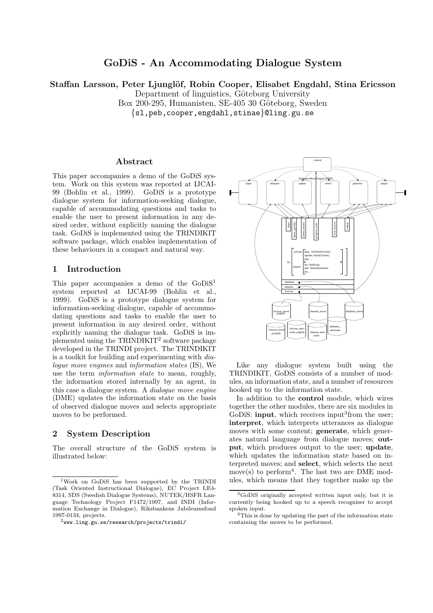# GoDiS - An Accommodating Dialogue System

Staffan Larsson, Peter Ljunglöf, Robin Cooper, Elisabet Engdahl, Stina Ericsson

Department of linguistics, Göteborg University

Box 200-295, Humanisten, SE-405 30 Göteborg, Sweden

{sl,peb,cooper,engdahl,stinae}@ling.gu.se

#### Abstract

This paper accompanies a demo of the GoDiS system. Work on this system was reported at IJCAI-99 (Bohlin et al., 1999). GoDiS is a prototype dialogue system for information-seeking dialogue, capable of accommodating questions and tasks to enable the user to present information in any desired order, without explicitly naming the dialogue task. GoDiS is implemented using the TRINDIKIT software package, which enables implementation of these behaviours in a compact and natural way.

#### 1 Introduction

This paper accompanies a demo of the GoDiS<sup>1</sup> system reported at IJCAI-99 (Bohlin et al., 1999). GoDiS is a prototype dialogue system for information-seeking dialogue, capable of accommodating questions and tasks to enable the user to present information in any desired order, without explicitly naming the dialogue task. GoDiS is implemented using the TRINDIKIT<sup>2</sup> software package developed in the TRINDI project. The TRINDIKIT is a toolkit for building and experimenting with dialogue move engines and information states (IS), We use the term information state to mean, roughly, the information stored internally by an agent, in this case a dialogue system. A dialogue move engine (DME) updates the information state on the basis of observed dialogue moves and selects appropriate moves to be performed.

## 2 System Description

The overall structure of the GoDiS system is illustrated below:



Like any dialogue system built using the TRINDIKIT, GoDiS consists of a number of modules, an information state, and a number of resources hooked up to the information state.

In addition to the control module, which wires together the other modules, there are six modules in GoDiS: **input**, which receives input<sup>3</sup> from the user; interpret, which interprets utterances as dialogue moves with some content; **generate**, which generates natural language from dialogue moves; output, which produces output to the user; update, which updates the information state based on interpreted moves; and select, which selects the next move(s) to perform<sup>4</sup>. The last two are DME modules, which means that they together make up the

<sup>1</sup>Work on GoDiS has been supported by the TRINDI (Task Oriented Instructional Dialogue), EC Project LE4- 8314, SDS (Swedish Dialogue Systems), NUTEK/HSFR Language Technology Project F1472/1997, and INDI (Information Exchange in Dialogue), Riksbankens Jubileumsfond 1997-0134, projects.

 $^{2}$ www.ling.gu.se/research/projects/trindi/

<sup>3</sup>GoDiS originally accepted written input only, but it is currently being hooked up to a speech recogniser to accept spoken input.

<sup>4</sup>This is done by updating the part of the information state containing the moves to be performed.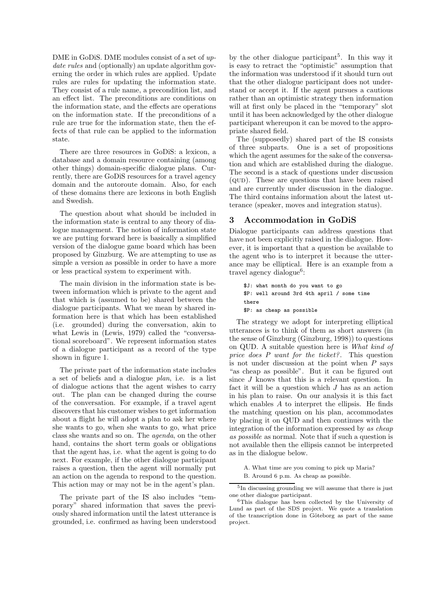DME in GoDiS. DME modules consist of a set of update rules and (optionally) an update algorithm governing the order in which rules are applied. Update rules are rules for updating the information state. They consist of a rule name, a precondition list, and an effect list. The preconditions are conditions on the information state, and the effects are operations on the information state. If the preconditions of a rule are true for the information state, then the effects of that rule can be applied to the information state.

There are three resources in GoDiS: a lexicon, a database and a domain resource containing (among other things) domain-specific dialogue plans. Currently, there are GoDiS resources for a travel agency domain and the autoroute domain. Also, for each of these domains there are lexicons in both English and Swedish.

The question about what should be included in the information state is central to any theory of dialogue management. The notion of information state we are putting forward here is basically a simplified version of the dialogue game board which has been proposed by Ginzburg. We are attempting to use as simple a version as possible in order to have a more or less practical system to experiment with.

The main division in the information state is between information which is private to the agent and that which is (assumed to be) shared between the dialogue participants. What we mean by shared information here is that which has been established (i.e. grounded) during the conversation, akin to what Lewis in (Lewis, 1979) called the "conversational scoreboard". We represent information states of a dialogue participant as a record of the type shown in figure 1.

The private part of the information state includes a set of beliefs and a dialogue plan, i.e. is a list of dialogue actions that the agent wishes to carry out. The plan can be changed during the course of the conversation. For example, if a travel agent discovers that his customer wishes to get information about a flight he will adopt a plan to ask her where she wants to go, when she wants to go, what price class she wants and so on. The agenda, on the other hand, contains the short term goals or obligations that the agent has, i.e. what the agent is going to do next. For example, if the other dialogue participant raises a question, then the agent will normally put an action on the agenda to respond to the question. This action may or may not be in the agent's plan.

The private part of the IS also includes "temporary" shared information that saves the previously shared information until the latest utterance is grounded, i.e. confirmed as having been understood

by the other dialogue participant<sup>5</sup>. In this way it is easy to retract the "optimistic" assumption that the information was understood if it should turn out that the other dialogue participant does not understand or accept it. If the agent pursues a cautious rather than an optimistic strategy then information will at first only be placed in the "temporary" slot until it has been acknowledged by the other dialogue participant whereupon it can be moved to the appropriate shared field.

The (supposedly) shared part of the IS consists of three subparts. One is a set of propositions which the agent assumes for the sake of the conversation and which are established during the dialogue. The second is a stack of questions under discussion (qud). These are questions that have been raised and are currently under discussion in the dialogue. The third contains information about the latest utterance (speaker, moves and integration status).

#### 3 Accommodation in GoDiS

Dialogue participants can address questions that have not been explicitly raised in the dialogue. However, it is important that a question be available to the agent who is to interpret it because the utterance may be elliptical. Here is an example from a travel agency dialogue<sup>6</sup>:

\$J: what month do you want to go \$P: well around 3rd 4th april / some time there \$P: as cheap as possible

The strategy we adopt for interpreting elliptical utterances is to think of them as short answers (in the sense of Ginzburg (Ginzburg, 1998)) to questions on QUD. A suitable question here is What kind of price does P want for the ticket?. This question is not under discussion at the point when  $P$  says "as cheap as possible". But it can be figured out since J knows that this is a relevant question. In fact it will be a question which  $J$  has as an action in his plan to raise. On our analysis it is this fact which enables A to interpret the ellipsis. He finds the matching question on his plan, accommodates by placing it on QUD and then continues with the integration of the information expressed by as cheap as possible as normal. Note that if such a question is not available then the ellipsis cannot be interpreted as in the dialogue below.

A. What time are you coming to pick up Maria? B. Around 6 p.m. As cheap as possible.

<sup>5</sup> In discussing grounding we will assume that there is just one other dialogue participant.

<sup>6</sup>This dialogue has been collected by the University of Lund as part of the SDS project. We quote a translation of the transcription done in Göteborg as part of the same project.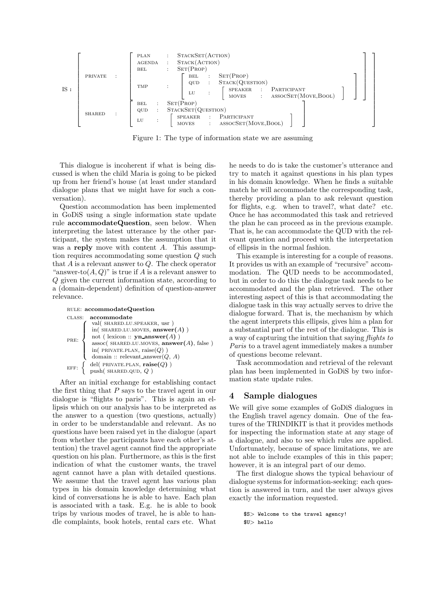

Figure 1: The type of information state we are assuming

This dialogue is incoherent if what is being discussed is when the child Maria is going to be picked up from her friend's house (at least under standard dialogue plans that we might have for such a conversation).

Question accommodation has been implemented in GoDiS using a single information state update rule accommodateQuestion, seen below. When interpreting the latest utterance by the other participant, the system makes the assumption that it was a reply move with content A. This assumption requires accommodating some question Q such that  $A$  is a relevant answer to  $Q$ . The check operator "answer-to $(A, Q)$ " is true if A is a relevant answer to Q given the current information state, according to a (domain-dependent) definition of question-answer relevance.

rule: accommodateQuestion class: accommodate PRE:  $\sqrt{ }$  $\int$  $\overline{\mathcal{L}}$ val( shared.lu.speaker, usr ) in( $SHARED.LU.MOVES, answer(A)$ ) not ( lexicon ::  $\mathbf{yn\_answer}(A)$  ) assoc( SHARED.LU.MOVES,  $\mathbf{answer}(A)$ , false ) in( $\text{PRIVATE.PLAN}, \text{raise}(Q)$ ) domain :: relevant answer $(Q, A)$ EFF: del( PRIVATE.PLAN,  $\text{raise}(Q)$ ) push( $SHARED.QUD, Q$ )

After an initial exchange for establishing contact the first thing that  $P$  says to the travel agent in our dialogue is "flights to paris". This is again an ellipsis which on our analysis has to be interpreted as the answer to a question (two questions, actually) in order to be understandable and relevant. As no questions have been raised yet in the dialogue (apart from whether the participants have each other's attention) the travel agent cannot find the appropriate question on his plan. Furthermore, as this is the first indication of what the customer wants, the travel agent cannot have a plan with detailed questions. We assume that the travel agent has various plan types in his domain knowledge determining what kind of conversations he is able to have. Each plan is associated with a task. E.g. he is able to book trips by various modes of travel, he is able to handle complaints, book hotels, rental cars etc. What he needs to do is take the customer's utterance and try to match it against questions in his plan types in his domain knowledge. When he finds a suitable match he will accommodate the corresponding task, thereby providing a plan to ask relevant question for flights, e.g. when to travel?, what date? etc. Once he has accommodated this task and retrieved the plan he can proceed as in the previous example. That is, he can accommodate the QUD with the relevant question and proceed with the interpretation of ellipsis in the normal fashion.

This example is interesting for a couple of reasons. It provides us with an example of "recursive" accommodation. The QUD needs to be accommodated, but in order to do this the dialogue task needs to be accommodated and the plan retrieved. The other interesting aspect of this is that accommodating the dialogue task in this way actually serves to drive the dialogue forward. That is, the mechanism by which the agent interprets this ellipsis, gives him a plan for a substantial part of the rest of the dialogue. This is a way of capturing the intuition that saying flights to Paris to a travel agent immediately makes a number of questions become relevant.

Task accommodation and retrieval of the relevant plan has been implemented in GoDiS by two information state update rules.

#### 4 Sample dialogues

We will give some examples of GoDiS dialogues in the English travel agency domain. One of the features of the TRINDIKIT is that it provides methods for inspecting the information state at any stage of a dialogue, and also to see which rules are applied. Unfortunately, because of space limitations, we are not able to include examples of this in this paper; however, it is an integral part of our demo.

The first dialogue shows the typical behaviour of dialogue systems for information-seeking: each question is answered in turn, and the user always gives exactly the information requested.

```
$S> Welcome to the travel agency!
$U> hello
```